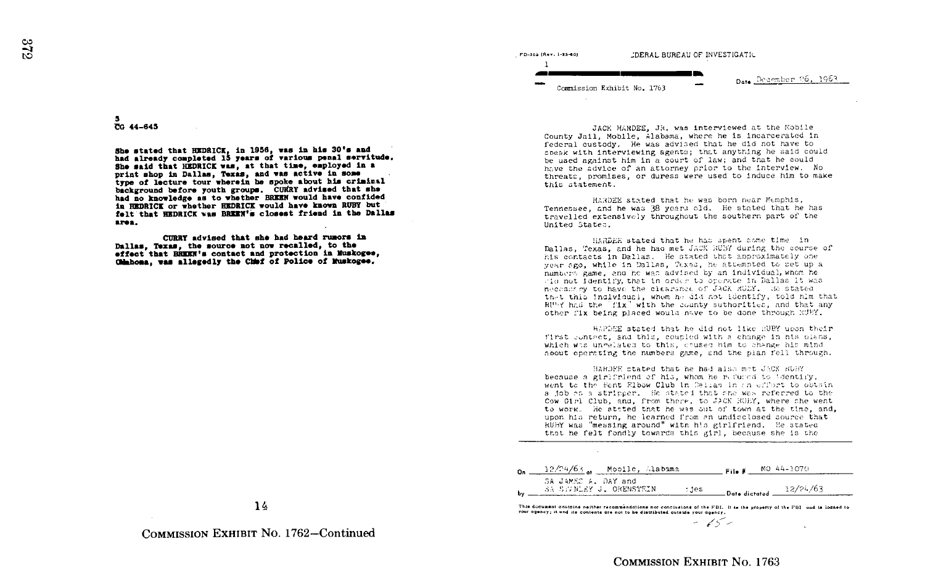5 DG 44-645

She stated that HEDRICK in 1956, was in his 30's and had already completed IS years of various penal servitude. She said that HEDRICK vas, at that time, employed in <sup>a</sup> print shop in Dallas, Texas, and was active in some type of lecture tour wherein he spoke about his criminal background before youth groups. CURRY advised that she had no knowledge as to whether BREEH would have confided in HEDRICK or whether HEDRICK would have known BUSY but falt that HEDRICK was BREEN's closest friend in the Dallas area.

CURRY advised that she had heard rumors in Dallas, Texas, the source not now recalled, to the effect that EEEEN's contact and protection in Muskogee. 00ahona, vas allegedly the Chbf of Police of Yuskogee .

FD-303 (Rev. 1-25-60) -DERAL BUREAU OF INVESTIGATIL I  $\overline{\phantom{0}}$ Date December 26, 1963 Commission Exhibit No. 1763

JACK HARDEE, JR, was interviewed at the Mobile County Jail, Mobile, Alabama, where he is incarcerated in federal custody. He was advised that he did not have to sneak with interviewing agents ; that anything he said could be used against him in a court of law; and that he could have the advice of an attorney prior to the interview. No threats:, promises, or duress were used to induce him to make this statement.

HARDEE stated that he was born near Memphis, Tennessee, and he was 38 years old. He stated that he has travelled extensively throughout the southern part of the United State:, .

t!ARD£E stated that he has spent time in Dallas, Texas, and he had met JACK RUBY during the course of his contacts in Dallas. He stated that approximately one year ago, while in Dallas, Texas, he attempted to set up a United States.<br>Dallas, "Exas, and he had met JACK HUSY during the course ints contacts in Dallas. He stated that approximately one<br>year ago, while in Dallas, Texas, he attempted to set up a<br>numeers game, and he was advised numbers game, and he was advised by an individual, whom he alu not Identify, that in order to operate in Dallas it was necessarive to have the clearance of JACK RUBY. He stated RUNY had the "fix" with the county suthorities, and that any necessary to have the clearance of JACK RUEY. He stated<br>that this !ndlviaual, whom he did not ldentify, told him that<br>nury has he what which he did to contribution and that any other fix being placed would nave to be done through RUBY.

HARDEE stated that he did not like EURY upon their first contact, and this, coupled with a change in his plans, which was ungelated to this, caused him to shange his mind. hoout operating the numbers game, and the pian fell through.

HARDEE stated that he had also met JACK RUBY. because a girlfriend of his, whom he refured to 'dentify, went to the Fent Flbow Club in Calias in an effort to obtain a job es a stripper. He stated that she was referred to the<br>All Alla Dick cad (All three to three way) to work. He stated that he was out of town at the time, an<br>upon his return, he learned from an undicated source that<br>WEW was "manualment" with his stated and the states Cow Cirl Club, and, from there, to JACK RUBY, where she went to work. He stated that he was out of town at the time, and, RUBY was "messing around" with his girlfriend. He atated that he felt fondly towards this girl, because she is the

| SA JAMES A. DAY and<br>12/24/63<br>SA SSWEEY J. ORENSTEIN<br>: jes<br>Date dictated $\frac{12}{1}$ | $12/24/63$ $\mu$ Mobile, Alabama | File # | MO 44-1070 |
|----------------------------------------------------------------------------------------------------|----------------------------------|--------|------------|
|                                                                                                    |                                  |        |            |

This document contains neither recommendations nor conclusions of the FBI. It is the property of the FBI and is loaned to your agency; it and its contents are not to be distributed outside your agency.

14

COMMISSION EXHIBIT NO. 1762-Continued

COMMISSION EXHIBIT NO. 1763

 $-15-$